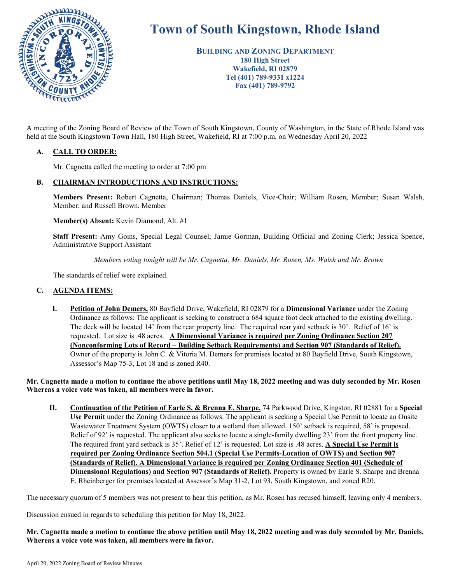

# **Town of South Kingstown, Rhode Island**

**BUILDING AND ZONING DEPARTMENT 180 High Street Wakefield, RI 02879 Tel (401) 789-9331 x1224 Fax (401) 789-9792** 

held at the South Kingstown Town Hall, 180 High Street, Wakefield, RI at 7:00 p.m. on Wednesday April 20, 2022

# **A. CALL TO ORDER:**

Mr. Cagnetta called the meeting to order at 7:00 pm

# **B. CHAIRMAN INTRODUCTIONS AND INSTRUCTIONS:**

**Members Present:** Robert Cagnetta, Chairman; Thomas Daniels, Vice-Chair; William Rosen, Member; Susan Walsh, Member; and Russell Brown, Member

**Member(s) Absent:** Kevin Diamond, Alt. #1

**Staff Present:** Amy Goins, Special Legal Counsel; Jamie Gorman, Building Official and Zoning Clerk; Jessica Spence, Administrative Support Assistant

*Members voting tonight will be Mr. Cagnetta, Mr. Daniels, Mr. Rosen, Ms. Walsh and Mr. Brown* 

The standards of relief were explained.

#### **C. AGENDA ITEMS:**

**I. Petition of John Demers,** 80 Bayfield Drive, Wakefield, RI 02879 for a **Dimensional Variance** under the Zoning Ordinance as follows: The applicant is seeking to construct a 684 square foot deck attached to the existing dwelling. The deck will be located 14' from the rear property line. The required rear yard setback is 30'. Relief of 16' is requested. Lot size is .48 acres. **A Dimensional Variance is required per Zoning Ordinance Section 207 (Nonconforming Lots of Record – Building Setback Requirements) and Section 907 (Standards of Relief).** Owner of the property is John C. & Vitoria M. Demers for premises located at 80 Bayfield Drive, South Kingstown, Assessor's Map 75-3, Lot 18 and is zoned R40.

**Mr. Cagnetta made a motion to continue the above petitions until May 18, 2022 meeting and was duly seconded by Mr. Rosen Whereas a voice vote was taken, all members were in favor.** 

**II. Continuation of the Petition of Earle S. & Brenna E. Sharpe,** 74 Parkwood Drive, Kingston, RI 02881 for a **Special Use Permit** under the Zoning Ordinance as follows: The applicant is seeking a Special Use Permit to locate an Onsite Wastewater Treatment System (OWTS) closer to a wetland than allowed. 150' setback is required, 58' is proposed. Relief of 92' is requested. The applicant also seeks to locate a single-family dwelling 23' from the front property line. The required front yard setback is 35'. Relief of 12' is requested. Lot size is .48 acres. **A Special Use Permit is required per Zoning Ordinance Section 504.1 (Special Use Permits-Location of OWTS) and Section 907 (Standards of Relief). A Dimensional Variance is required per Zoning Ordinance Section 401 (Schedule of Dimensional Regulations) and Section 907 (Standards of Relief).** Property is owned by Earle S. Sharpe and Brenna E. Rheinberger for premises located at Assessor's Map 31-2, Lot 93, South Kingstown, and zoned R20.

The necessary quorum of 5 members was not present to hear this petition, as Mr. Rosen has recused himself, leaving only 4 members.

Discussion ensued in regards to scheduling this petition for May 18, 2022.

**Mr. Cagnetta made a motion to continue the above petition until May 18, 2022 meeting and was duly seconded by Mr. Daniels. Whereas a voice vote was taken, all members were in favor.**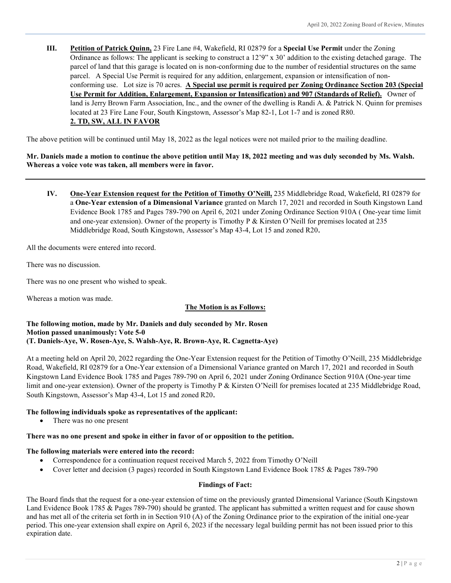**III. Petition of Patrick Quinn,** 23 Fire Lane #4, Wakefield, RI 02879 for a **Special Use Permit** under the Zoning Ordinance as follows: The applicant is seeking to construct a 12'9" x 30' addition to the existing detached garage. The parcel of land that this garage is located on is non-conforming due to the number of residential structures on the same parcel. A Special Use Permit is required for any addition, enlargement, expansion or intensification of nonconforming use. Lot size is 70 acres. **A Special use permit is required per Zoning Ordinance Section 203 (Special Use Permit for Addition, Enlargement, Expansion or Intensification) and 907 (Standards of Relief).** Owner of land is Jerry Brown Farm Association, Inc., and the owner of the dwelling is Randi A. & Patrick N. Quinn for premises located at 23 Fire Lane Four, South Kingstown, Assessor's Map 82-1, Lot 1-7 and is zoned R80. **2. TD, SW, ALL IN FAVOR** 

The above petition will be continued until May 18, 2022 as the legal notices were not mailed prior to the mailing deadline.

# **Mr. Daniels made a motion to continue the above petition until May 18, 2022 meeting and was duly seconded by Ms. Walsh. Whereas a voice vote was taken, all members were in favor.**

**IV. One-Year Extension request for the Petition of Timothy O'Neill,** 235 Middlebridge Road, Wakefield, RI 02879 for a **One-Year extension of a Dimensional Variance** granted on March 17, 2021 and recorded in South Kingstown Land Evidence Book 1785 and Pages 789-790 on April 6, 2021 under Zoning Ordinance Section 910A ( One-year time limit and one-year extension). Owner of the property is Timothy P & Kirsten O'Neill for premises located at 235 Middlebridge Road, South Kingstown, Assessor's Map 43-4, Lot 15 and zoned R20.

All the documents were entered into record.

There was no discussion.

There was no one present who wished to speak.

Whereas a motion was made.

# **The Motion is as Follows:**

#### **The following motion, made by Mr. Daniels and duly seconded by Mr. Rosen Motion passed unanimously: Vote 5-0 (T. Daniels-Aye, W. Rosen-Aye, S. Walsh-Aye, R. Brown-Aye, R. Cagnetta-Aye)**

At a meeting held on April 20, 2022 regarding the One-Year Extension request for the Petition of Timothy O'Neill, 235 Middlebridge Road, Wakefield, RI 02879 for a One-Year extension of a Dimensional Variance granted on March 17, 2021 and recorded in South Kingstown Land Evidence Book 1785 and Pages 789-790 on April 6, 2021 under Zoning Ordinance Section 910A (One-year time limit and one-year extension). Owner of the property is Timothy P & Kirsten O'Neill for premises located at 235 Middlebridge Road, South Kingstown, Assessor's Map 43-4, Lot 15 and zoned R20.

# **The following individuals spoke as representatives of the applicant:**

There was no one present

#### **There was no one present and spoke in either in favor of or opposition to the petition.**

#### **The following materials were entered into the record:**

- Correspondence for a continuation request received March 5, 2022 from Timothy O'Neill
- Cover letter and decision (3 pages) recorded in South Kingstown Land Evidence Book 1785 & Pages 789-790

#### **Findings of Fact:**

The Board finds that the request for a one-year extension of time on the previously granted Dimensional Variance (South Kingstown Land Evidence Book 1785 & Pages 789-790) should be granted. The applicant has submitted a written request and for cause shown and has met all of the criteria set forth in in Section 910 (A) of the Zoning Ordinance prior to the expiration of the initial one-year period. This one-year extension shall expire on April 6, 2023 if the necessary legal building permit has not been issued prior to this expiration date.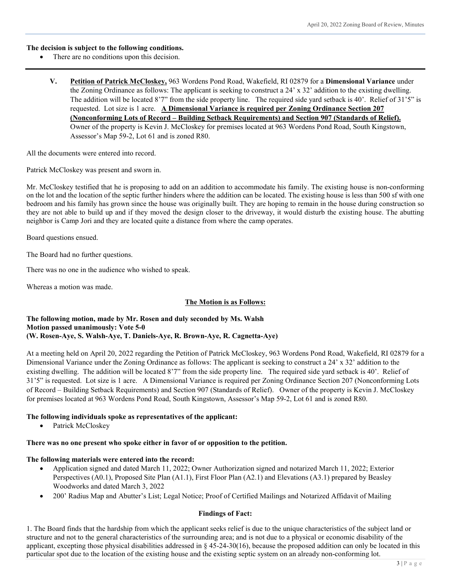#### **The decision is subject to the following conditions.**

- There are no conditions upon this decision.
	- **V. Petition of Patrick McCloskey,** 963 Wordens Pond Road, Wakefield, RI 02879 for a **Dimensional Variance** under the Zoning Ordinance as follows: The applicant is seeking to construct a 24' x 32' addition to the existing dwelling. The addition will be located 8'7" from the side property line. The required side yard setback is 40'. Relief of 31'5" is requested. Lot size is 1 acre. **A Dimensional Variance is required per Zoning Ordinance Section 207 (Nonconforming Lots of Record – Building Setback Requirements) and Section 907 (Standards of Relief).** Owner of the property is Kevin J. McCloskey for premises located at 963 Wordens Pond Road, South Kingstown, Assessor's Map 59-2, Lot 61 and is zoned R80.

All the documents were entered into record.

Patrick McCloskey was present and sworn in.

Mr. McCloskey testified that he is proposing to add on an addition to accommodate his family. The existing house is non-conforming on the lot and the location of the septic further hinders where the addition can be located. The existing house is less than 500 sf with one bedroom and his family has grown since the house was originally built. They are hoping to remain in the house during construction so they are not able to build up and if they moved the design closer to the driveway, it would disturb the existing house. The abutting neighbor is Camp Jori and they are located quite a distance from where the camp operates.

Board questions ensued.

The Board had no further questions.

There was no one in the audience who wished to speak.

Whereas a motion was made.

# **The Motion is as Follows:**

#### **The following motion, made by Mr. Rosen and duly seconded by Ms. Walsh Motion passed unanimously: Vote 5-0 (W. Rosen-Aye, S. Walsh-Aye, T. Daniels-Aye, R. Brown-Aye, R. Cagnetta-Aye)**

At a meeting held on April 20, 2022 regarding the Petition of Patrick McCloskey, 963 Wordens Pond Road, Wakefield, RI 02879 for a Dimensional Variance under the Zoning Ordinance as follows: The applicant is seeking to construct a 24' x 32' addition to the existing dwelling. The addition will be located 8'7" from the side property line. The required side yard setback is 40'. Relief of 31'5" is requested. Lot size is 1 acre. A Dimensional Variance is required per Zoning Ordinance Section 207 (Nonconforming Lots of Record – Building Setback Requirements) and Section 907 (Standards of Relief). Owner of the property is Kevin J. McCloskey for premises located at 963 Wordens Pond Road, South Kingstown, Assessor's Map 59-2, Lot 61 and is zoned R80.

# **The following individuals spoke as representatives of the applicant:**

Patrick McCloskey

#### **There was no one present who spoke either in favor of or opposition to the petition.**

#### **The following materials were entered into the record:**

- Application signed and dated March 11, 2022; Owner Authorization signed and notarized March 11, 2022; Exterior Perspectives (A0.1), Proposed Site Plan (A1.1), First Floor Plan (A2.1) and Elevations (A3.1) prepared by Beasley Woodworks and dated March 3, 2022
- 200' Radius Map and Abutter's List; Legal Notice; Proof of Certified Mailings and Notarized Affidavit of Mailing

# **Findings of Fact:**

1. The Board finds that the hardship from which the applicant seeks relief is due to the unique characteristics of the subject land or structure and not to the general characteristics of the surrounding area; and is not due to a physical or economic disability of the applicant, excepting those physical disabilities addressed in  $\S$  45-24-30(16), because the proposed addition can only be located in this particular spot due to the location of the existing house and the existing septic system on an already non-conforming lot.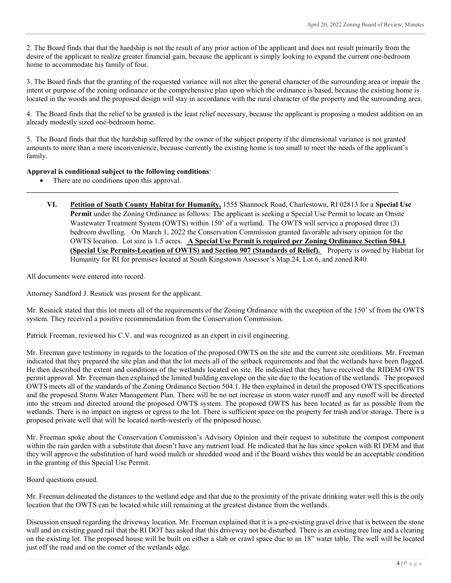2. The Board finds that that the hardship is not the result of any prior action of the applicant and does not result primarily from the desire of the applicant to realize greater financial gain, because the applicant is simply looking to expand the current one-bedroom home to accommodate his family of four.

3. The Board finds that the granting of the requested variance will not alter the general character of the surrounding area or impair the intent or purpose of the zoning ordinance or the comprehensive plan upon which the ordinance is based, because the existing home is located in the woods and the proposed design will stay in accordance with the rural character of the property and the surrounding area.

4. The Board finds that the relief to be granted is the least relief necessary, because the applicant is proposing a modest addition on an already modestly sized one-bedroom home.

5. The Board finds that that the hardship suffered by the owner of the subject property if the dimensional variance is not granted amounts to more than a mere inconvenience, because currently the existing home is too small to meet the needs of the applicant's family.

**\_\_\_\_\_\_\_\_\_\_\_\_\_\_\_\_\_\_\_\_\_\_\_\_\_\_\_\_\_\_\_\_\_\_\_\_\_\_\_\_\_\_\_\_\_\_\_\_\_\_\_\_\_\_\_\_\_\_\_\_\_\_\_\_\_\_\_\_\_\_\_\_\_\_\_\_\_\_\_\_\_\_\_\_\_\_\_\_\_\_\_\_\_\_\_\_\_\_\_\_\_**

# **Approval is conditional subject to the following conditions**:

- There are no conditions upon this approval.
	- **VI. Petition of South County Habitat for Humanity,** 1555 Shannock Road, Charlestown, RI 02813 for a **Special Use Permit** under the Zoning Ordinance as follows: The applicant is seeking a Special Use Permit to locate an Onsite Wastewater Treatment System (OWTS) within 150' of a wetland. The OWTS will service a proposed three (3) bedroom dwelling. On March 1, 2022 the Conservation Commission granted favorable advisory opinion for the OWTS location. Lot size is 1.5 acres. **A Special Use Permit is required per Zoning Ordinance Section 504.1 (Special Use Permits-Location of OWTS) and Section 907 (Standards of Relief).** Property is owned by Habitat for Humanity for RI for premises located at South Kingstown Assessor's Map 24, Lot 6, and zoned R40.

All documents were entered into record.

Attorney Sandford J. Resnick was present for the applicant.

Mr. Resnick stated that this lot meets all of the requirements of the Zoning Ordinance with the exception of the 150' sf from the OWTS system. They received a positive recommendation from the Conservation Commission.

Patrick Freeman, reviewed his C.V. and was recognized as an expert in civil engineering.

Mr. Freeman gave testimony in regards to the location of the proposed OWTS on the site and the current site conditions. Mr. Freeman indicated that they prepared the site plan and that the lot meets all of the setback requirements and that the wetlands have been flagged. He then described the extent and conditions of the wetlands located on site. He indicated that they have received the RIDEM OWTS permit approval. Mr. Freeman then explained the limited building envelope on the site due to the location of the wetlands. The proposed OWTS meets all of the standards of the Zoning Ordinance Section 504.1. He then explained in detail the proposed OWTS specifications and the proposed Storm Water Management Plan. There will be no net increase in storm water runoff and any runoff will be directed into the stream and directed around the proposed OWTS system. The proposed OWTS has been located as far as possible from the wetlands. There is no impact on ingress or egress to the lot. There is sufficient space on the property for trash and/or storage. There is a proposed private well that will be located north-westerly of the proposed house.

Mr. Freeman spoke about the Conservation Commission's Advisory Opinion and their request to substitute the compost component within the rain garden with a substitute that doesn't have any nutrient load. He indicated that he has since spoken with RI DEM and that they will approve the substitution of hard wood mulch or shredded wood and if the Board wishes this would be an acceptable condition in the granting of this Special Use Permit.

Board questions ensued.

Mr. Freeman delineated the distances to the wetland edge and that due to the proximity of the private drinking water well this is the only location that the OWTS can be located while still remaining at the greatest distance from the wetlands.

Discussion ensued regarding the driveway location. Mr. Freeman explained that it is a pre-existing gravel drive that is between the stone wall and an existing guard rail that the RI DOT has asked that this driveway not be disturbed. There is an existing tree line and a clearing on the existing lot. The proposed house will be built on either a slab or crawl space due to an 18" water table. The well will be located just off the road and on the corner of the wetlands edge.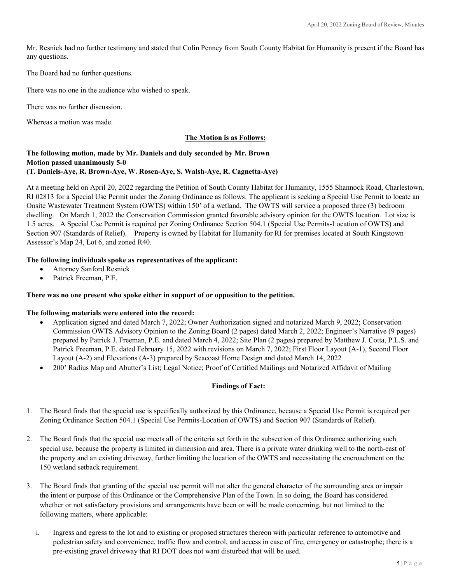Mr. Resnick had no further testimony and stated that Colin Penney from South County Habitat for Humanity is present if the Board has any questions.

#### The Board had no further questions.

There was no one in the audience who wished to speak.

There was no further discussion.

Whereas a motion was made.

# **The Motion is as Follows:**

# **The following motion, made by Mr. Daniels and duly seconded by Mr. Brown Motion passed unanimously 5-0 (T. Daniels-Aye, R. Brown-Aye, W. Rosen-Aye, S. Walsh-Aye, R. Cagnetta-Aye)**

At a meeting held on April 20, 2022 regarding the Petition of South County Habitat for Humanity, 1555 Shannock Road, Charlestown, RI 02813 for a Special Use Permit under the Zoning Ordinance as follows: The applicant is seeking a Special Use Permit to locate an Onsite Wastewater Treatment System (OWTS) within 150' of a wetland. The OWTS will service a proposed three (3) bedroom dwelling. On March 1, 2022 the Conservation Commission granted favorable advisory opinion for the OWTS location. Lot size is 1.5 acres. A Special Use Permit is required per Zoning Ordinance Section 504.1 (Special Use Permits-Location of OWTS) and Section 907 (Standards of Relief). Property is owned by Habitat for Humanity for RI for premises located at South Kingstown Assessor's Map 24, Lot 6, and zoned R40.

# **The following individuals spoke as representatives of the applicant:**

- Attorney Sanford Resnick
- Patrick Freeman, P.E.

# **There was no one present who spoke either in support of or opposition to the petition.**

# **The following materials were entered into the record:**

- Application signed and dated March 7, 2022; Owner Authorization signed and notarized March 9, 2022; Conservation Commission OWTS Advisory Opinion to the Zoning Board (2 pages) dated March 2, 2022; Engineer's Narrative (9 pages) prepared by Patrick J. Freeman, P.E. and dated March 4, 2022; Site Plan (2 pages) prepared by Matthew J. Cotta, P.L.S. and Patrick Freeman, P.E. dated February 15, 2022 with revisions on March 7, 2022; First Floor Layout (A-1), Second Floor Layout (A-2) and Elevations (A-3) prepared by Seacoast Home Design and dated March 14, 2022
- 200' Radius Map and Abutter's List; Legal Notice; Proof of Certified Mailings and Notarized Affidavit of Mailing

# **Findings of Fact:**

- 1. The Board finds that the special use is specifically authorized by this Ordinance, because a Special Use Permit is required per Zoning Ordinance Section 504.1 (Special Use Permits-Location of OWTS) and Section 907 (Standards of Relief).
- 2. The Board finds that the special use meets all of the criteria set forth in the subsection of this Ordinance authorizing such special use, because the property is limited in dimension and area. There is a private water drinking well to the north-east of the property and an existing driveway, further limiting the location of the OWTS and necessitating the encroachment on the 150 wetland setback requirement.
- 3. The Board finds that granting of the special use permit will not alter the general character of the surrounding area or impair the intent or purpose of this Ordinance or the Comprehensive Plan of the Town. In so doing, the Board has considered whether or not satisfactory provisions and arrangements have been or will be made concerning, but not limited to the following matters, where applicable:
	- i. Ingress and egress to the lot and to existing or proposed structures thereon with particular reference to automotive and pedestrian safety and convenience, traffic flow and control, and access in case of fire, emergency or catastrophe; there is a pre-existing gravel driveway that RI DOT does not want disturbed that will be used.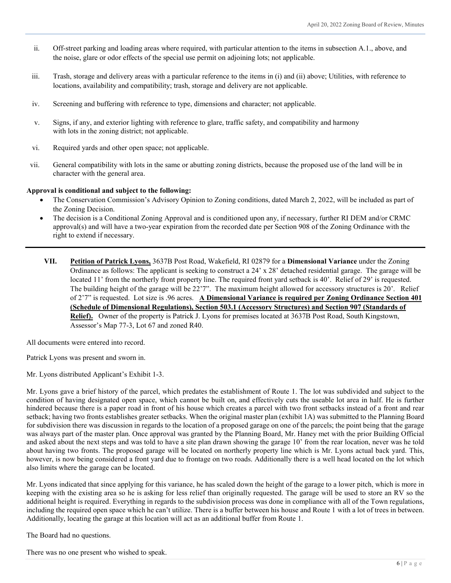- ii. Off-street parking and loading areas where required, with particular attention to the items in subsection A.1., above, and the noise, glare or odor effects of the special use permit on adjoining lots; not applicable.
- iii. Trash, storage and delivery areas with a particular reference to the items in (i) and (ii) above; Utilities, with reference to locations, availability and compatibility; trash, storage and delivery are not applicable.
- iv. Screening and buffering with reference to type, dimensions and character; not applicable.
- v. Signs, if any, and exterior lighting with reference to glare, traffic safety, and compatibility and harmony with lots in the zoning district; not applicable.
- vi. Required yards and other open space; not applicable.
- vii. General compatibility with lots in the same or abutting zoning districts, because the proposed use of the land will be in character with the general area.

#### **Approval is conditional and subject to the following:**

- The Conservation Commission's Advisory Opinion to Zoning conditions, dated March 2, 2022, will be included as part of the Zoning Decision.
- The decision is a Conditional Zoning Approval and is conditioned upon any, if necessary, further RI DEM and/or CRMC approval(s) and will have a two-year expiration from the recorded date per Section 908 of the Zoning Ordinance with the right to extend if necessary.
- **VII. Petition of Patrick Lyons,** 3637B Post Road, Wakefield, RI 02879 for a **Dimensional Variance** under the Zoning Ordinance as follows: The applicant is seeking to construct a 24' x 28' detached residential garage. The garage will be located 11' from the northerly front property line. The required front yard setback is 40'. Relief of 29' is requested. The building height of the garage will be 22'7". The maximum height allowed for accessory structures is 20'. Relief of 2'7" is requested. Lot size is .96 acres. **A Dimensional Variance is required per Zoning Ordinance Section 401 (Schedule of Dimensional Regulations), Section 503.1 (Accessory Structures) and Section 907 (Standards of Relief).** Owner of the property is Patrick J. Lyons for premises located at 3637B Post Road, South Kingstown, Assessor's Map 77-3, Lot 67 and zoned R40.

All documents were entered into record.

Patrick Lyons was present and sworn in.

Mr. Lyons distributed Applicant's Exhibit 1-3.

Mr. Lyons gave a brief history of the parcel, which predates the establishment of Route 1. The lot was subdivided and subject to the condition of having designated open space, which cannot be built on, and effectively cuts the useable lot area in half. He is further hindered because there is a paper road in front of his house which creates a parcel with two front setbacks instead of a front and rear setback; having two fronts establishes greater setbacks. When the original master plan (exhibit 1A) was submitted to the Planning Board for subdivision there was discussion in regards to the location of a proposed garage on one of the parcels; the point being that the garage was always part of the master plan. Once approval was granted by the Planning Board, Mr. Haney met with the prior Building Official and asked about the next steps and was told to have a site plan drawn showing the garage 10' from the rear location, never was he told about having two fronts. The proposed garage will be located on northerly property line which is Mr. Lyons actual back yard. This, however, is now being considered a front yard due to frontage on two roads. Additionally there is a well head located on the lot which also limits where the garage can be located.

Mr. Lyons indicated that since applying for this variance, he has scaled down the height of the garage to a lower pitch, which is more in keeping with the existing area so he is asking for less relief than originally requested. The garage will be used to store an RV so the additional height is required. Everything in regards to the subdivision process was done in compliance with all of the Town regulations, including the required open space which he can't utilize. There is a buffer between his house and Route 1 with a lot of trees in between. Additionally, locating the garage at this location will act as an additional buffer from Route 1.

The Board had no questions.

There was no one present who wished to speak.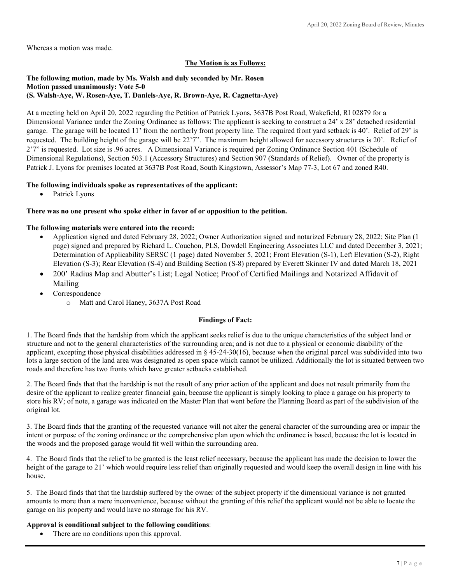Whereas a motion was made.

# **The Motion is as Follows:**

# **The following motion, made by Ms. Walsh and duly seconded by Mr. Rosen Motion passed unanimously: Vote 5-0 (S. Walsh-Aye, W. Rosen-Aye, T. Daniels-Aye, R. Brown-Aye, R. Cagnetta-Aye)**

At a meeting held on April 20, 2022 regarding the Petition of Patrick Lyons, 3637B Post Road, Wakefield, RI 02879 for a Dimensional Variance under the Zoning Ordinance as follows: The applicant is seeking to construct a 24' x 28' detached residential garage. The garage will be located 11' from the northerly front property line. The required front yard setback is 40'. Relief of 29' is requested. The building height of the garage will be 22'7". The maximum height allowed for accessory structures is 20'. Relief of 2'7" is requested. Lot size is .96 acres. A Dimensional Variance is required per Zoning Ordinance Section 401 (Schedule of Dimensional Regulations), Section 503.1 (Accessory Structures) and Section 907 (Standards of Relief). Owner of the property is Patrick J. Lyons for premises located at 3637B Post Road, South Kingstown, Assessor's Map 77-3, Lot 67 and zoned R40.

# **The following individuals spoke as representatives of the applicant:**

Patrick Lyons

#### **There was no one present who spoke either in favor of or opposition to the petition.**

#### **The following materials were entered into the record:**

- Application signed and dated February 28, 2022; Owner Authorization signed and notarized February 28, 2022; Site Plan (1 page) signed and prepared by Richard L. Couchon, PLS, Dowdell Engineering Associates LLC and dated December 3, 2021; Determination of Applicability SERSC (1 page) dated November 5, 2021; Front Elevation (S-1), Left Elevation (S-2), Right Elevation (S-3); Rear Elevation (S-4) and Building Section (S-8) prepared by Everett Skinner IV and dated March 18, 2021
- 200' Radius Map and Abutter's List; Legal Notice; Proof of Certified Mailings and Notarized Affidavit of Mailing
- Correspondence
	- o Matt and Carol Haney, 3637A Post Road

#### **Findings of Fact:**

1. The Board finds that the hardship from which the applicant seeks relief is due to the unique characteristics of the subject land or structure and not to the general characteristics of the surrounding area; and is not due to a physical or economic disability of the applicant, excepting those physical disabilities addressed in § 45-24-30(16), because when the original parcel was subdivided into two lots a large section of the land area was designated as open space which cannot be utilized. Additionally the lot is situated between two roads and therefore has two fronts which have greater setbacks established.

2. The Board finds that that the hardship is not the result of any prior action of the applicant and does not result primarily from the desire of the applicant to realize greater financial gain, because the applicant is simply looking to place a garage on his property to store his RV; of note, a garage was indicated on the Master Plan that went before the Planning Board as part of the subdivision of the original lot.

3. The Board finds that the granting of the requested variance will not alter the general character of the surrounding area or impair the intent or purpose of the zoning ordinance or the comprehensive plan upon which the ordinance is based, because the lot is located in the woods and the proposed garage would fit well within the surrounding area.

4. The Board finds that the relief to be granted is the least relief necessary, because the applicant has made the decision to lower the height of the garage to 21' which would require less relief than originally requested and would keep the overall design in line with his house.

5. The Board finds that that the hardship suffered by the owner of the subject property if the dimensional variance is not granted amounts to more than a mere inconvenience, because without the granting of this relief the applicant would not be able to locate the garage on his property and would have no storage for his RV.

#### **Approval is conditional subject to the following conditions**:

• There are no conditions upon this approval.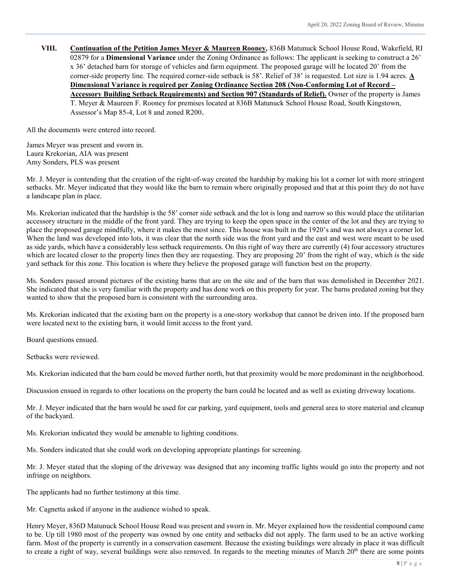**VIII. Continuation of the Petition James Meyer & Maureen Rooney,** 836B Matunuck School House Road, Wakefield, RI 02879 for a **Dimensional Variance** under the Zoning Ordinance as follows: The applicant is seeking to construct a 26' x 36' detached barn for storage of vehicles and farm equipment. The proposed garage will be located 20' from the corner-side property line. The required corner-side setback is 58'. Relief of 38' is requested. Lot size is 1.94 acres. **A Dimensional Variance is required per Zoning Ordinance Section 208 (Non-Conforming Lot of Record – Accessory Building Setback Requirements) and Section 907 (Standards of Relief).** Owner of the property is James T. Meyer & Maureen F. Rooney for premises located at 836B Matunuck School House Road, South Kingstown, Assessor's Map 85-4, Lot 8 and zoned R200.

All the documents were entered into record.

James Meyer was present and sworn in. Laura Krekorian, AIA was present Amy Sonders, PLS was present

Mr. J. Meyer is contending that the creation of the right-of-way created the hardship by making his lot a corner lot with more stringent setbacks. Mr. Meyer indicated that they would like the barn to remain where originally proposed and that at this point they do not have a landscape plan in place.

Ms. Krekorian indicated that the hardship is the 58' corner side setback and the lot is long and narrow so this would place the utilitarian accessory structure in the middle of the front yard. They are trying to keep the open space in the center of the lot and they are trying to place the proposed garage mindfully, where it makes the most since. This house was built in the 1920's and was not always a corner lot. When the land was developed into lots, it was clear that the north side was the front yard and the east and west were meant to be used as side yards, which have a considerably less setback requirements. On this right of way there are currently (4) four accessory structures which are located closer to the property lines then they are requesting. They are proposing 20' from the right of way, which is the side yard setback for this zone. This location is where they believe the proposed garage will function best on the property.

Ms. Sonders passed around pictures of the existing barns that are on the site and of the barn that was demolished in December 2021. She indicated that she is very familiar with the property and has done work on this property for year. The barns predated zoning but they wanted to show that the proposed barn is consistent with the surrounding area.

Ms. Krekorian indicated that the existing barn on the property is a one-story workshop that cannot be driven into. If the proposed barn were located next to the existing barn, it would limit access to the front yard.

Board questions ensued.

Setbacks were reviewed.

Ms. Krekorian indicated that the barn could be moved further north, but that proximity would be more predominant in the neighborhood.

Discussion ensued in regards to other locations on the property the barn could be located and as well as existing driveway locations.

Mr. J. Meyer indicated that the barn would be used for car parking, yard equipment, tools and general area to store material and cleanup of the backyard.

Ms. Krekorian indicated they would be amenable to lighting conditions.

Ms. Sonders indicated that she could work on developing appropriate plantings for screening.

Mr. J. Meyer stated that the sloping of the driveway was designed that any incoming traffic lights would go into the property and not infringe on neighbors.

The applicants had no further testimony at this time.

Mr. Cagnetta asked if anyone in the audience wished to speak.

Henry Meyer, 836D Matunuck School House Road was present and sworn in. Mr. Meyer explained how the residential compound came to be. Up till 1980 most of the property was owned by one entity and setbacks did not apply. The farm used to be an active working farm. Most of the property is currently in a conservation easement. Because the existing buildings were already in place it was difficult to create a right of way, several buildings were also removed. In regards to the meeting minutes of March  $20<sup>th</sup>$  there are some points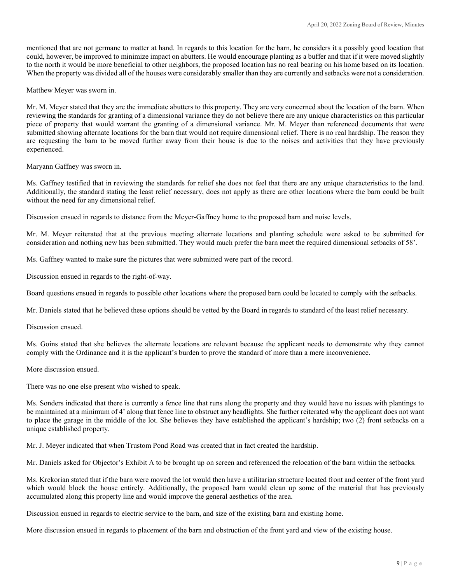mentioned that are not germane to matter at hand. In regards to this location for the barn, he considers it a possibly good location that could, however, be improved to minimize impact on abutters. He would encourage planting as a buffer and that if it were moved slightly to the north it would be more beneficial to other neighbors, the proposed location has no real bearing on his home based on its location. When the property was divided all of the houses were considerably smaller than they are currently and setbacks were not a consideration.

Matthew Meyer was sworn in.

Mr. M. Meyer stated that they are the immediate abutters to this property. They are very concerned about the location of the barn. When reviewing the standards for granting of a dimensional variance they do not believe there are any unique characteristics on this particular piece of property that would warrant the granting of a dimensional variance. Mr. M. Meyer than referenced documents that were submitted showing alternate locations for the barn that would not require dimensional relief. There is no real hardship. The reason they are requesting the barn to be moved further away from their house is due to the noises and activities that they have previously experienced.

Maryann Gaffney was sworn in.

Ms. Gaffney testified that in reviewing the standards for relief she does not feel that there are any unique characteristics to the land. Additionally, the standard stating the least relief necessary, does not apply as there are other locations where the barn could be built without the need for any dimensional relief.

Discussion ensued in regards to distance from the Meyer-Gaffney home to the proposed barn and noise levels.

Mr. M. Meyer reiterated that at the previous meeting alternate locations and planting schedule were asked to be submitted for consideration and nothing new has been submitted. They would much prefer the barn meet the required dimensional setbacks of 58'.

Ms. Gaffney wanted to make sure the pictures that were submitted were part of the record.

Discussion ensued in regards to the right-of-way.

Board questions ensued in regards to possible other locations where the proposed barn could be located to comply with the setbacks.

Mr. Daniels stated that he believed these options should be vetted by the Board in regards to standard of the least relief necessary.

Discussion ensued.

Ms. Goins stated that she believes the alternate locations are relevant because the applicant needs to demonstrate why they cannot comply with the Ordinance and it is the applicant's burden to prove the standard of more than a mere inconvenience.

More discussion ensued.

There was no one else present who wished to speak.

Ms. Sonders indicated that there is currently a fence line that runs along the property and they would have no issues with plantings to be maintained at a minimum of 4' along that fence line to obstruct any headlights. She further reiterated why the applicant does not want to place the garage in the middle of the lot. She believes they have established the applicant's hardship; two (2) front setbacks on a unique established property.

Mr. J. Meyer indicated that when Trustom Pond Road was created that in fact created the hardship.

Mr. Daniels asked for Objector's Exhibit A to be brought up on screen and referenced the relocation of the barn within the setbacks.

Ms. Krekorian stated that if the barn were moved the lot would then have a utilitarian structure located front and center of the front yard which would block the house entirely. Additionally, the proposed barn would clean up some of the material that has previously accumulated along this property line and would improve the general aesthetics of the area.

Discussion ensued in regards to electric service to the barn, and size of the existing barn and existing home.

More discussion ensued in regards to placement of the barn and obstruction of the front yard and view of the existing house.